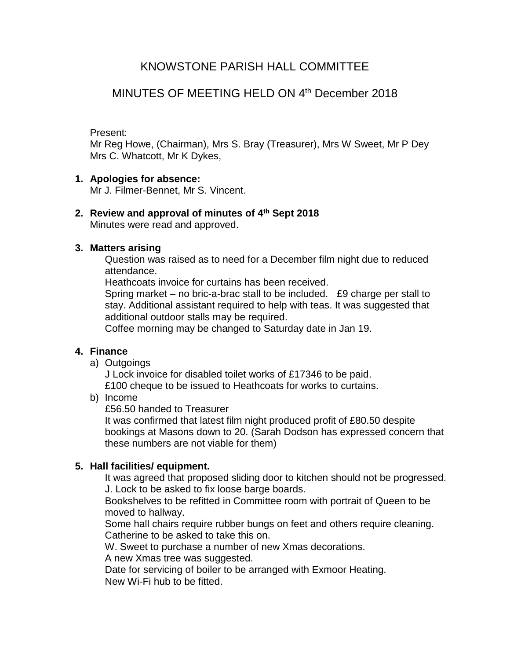# KNOWSTONE PARISH HALL COMMITTEE

# MINUTES OF MEETING HELD ON 4th December 2018

#### Present:

Mr Reg Howe, (Chairman), Mrs S. Bray (Treasurer), Mrs W Sweet, Mr P Dey Mrs C. Whatcott, Mr K Dykes,

#### **1. Apologies for absence:**

Mr J. Filmer-Bennet, Mr S. Vincent.

# **2. Review and approval of minutes of 4 th Sept 2018**

Minutes were read and approved.

#### **3. Matters arising**

Question was raised as to need for a December film night due to reduced attendance.

Heathcoats invoice for curtains has been received.

Spring market – no bric-a-brac stall to be included. £9 charge per stall to stay. Additional assistant required to help with teas. It was suggested that additional outdoor stalls may be required.

Coffee morning may be changed to Saturday date in Jan 19.

# **4. Finance**

a) Outgoings

J Lock invoice for disabled toilet works of £17346 to be paid.

£100 cheque to be issued to Heathcoats for works to curtains.

b) Income

£56.50 handed to Treasurer

It was confirmed that latest film night produced profit of £80.50 despite bookings at Masons down to 20. (Sarah Dodson has expressed concern that these numbers are not viable for them)

# **5. Hall facilities/ equipment.**

It was agreed that proposed sliding door to kitchen should not be progressed. J. Lock to be asked to fix loose barge boards.

Bookshelves to be refitted in Committee room with portrait of Queen to be moved to hallway.

Some hall chairs require rubber bungs on feet and others require cleaning. Catherine to be asked to take this on.

W. Sweet to purchase a number of new Xmas decorations.

A new Xmas tree was suggested.

Date for servicing of boiler to be arranged with Exmoor Heating. New Wi-Fi hub to be fitted.